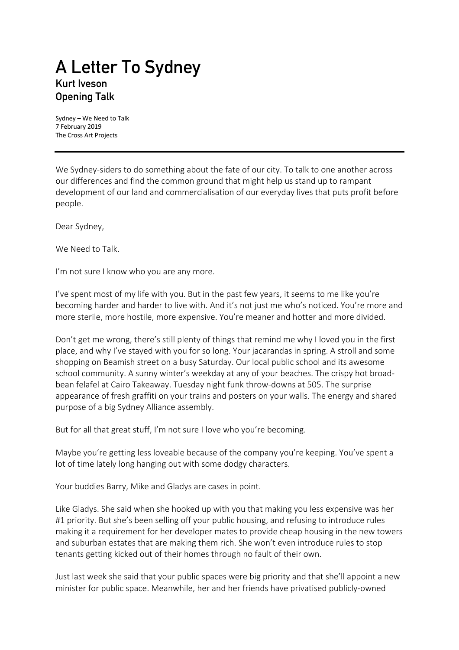## **A Letter To Sydney Kurt Iveson Opening Talk**

Sydney – We Need to Talk 7 February 2019 The Cross Art Projects

We Sydney-siders to do something about the fate of our city. To talk to one another across our differences and find the common ground that might help us stand up to rampant development of our land and commercialisation of our everyday lives that puts profit before people.

Dear Sydney,

We Need to Talk.

I'm not sure I know who you are any more.

I've spent most of my life with you. But in the past few years, it seems to me like you're becoming harder and harder to live with. And it's not just me who's noticed. You're more and more sterile, more hostile, more expensive. You're meaner and hotter and more divided.

Don't get me wrong, there's still plenty of things that remind me why I loved you in the first place, and why I've stayed with you for so long. Your jacarandas in spring. A stroll and some shopping on Beamish street on a busy Saturday. Our local public school and its awesome school community. A sunny winter's weekday at any of your beaches. The crispy hot broadbean felafel at Cairo Takeaway. Tuesday night funk throw-downs at 505. The surprise appearance of fresh graffiti on your trains and posters on your walls. The energy and shared purpose of a big Sydney Alliance assembly.

But for all that great stuff, I'm not sure I love who you're becoming.

Maybe you're getting less loveable because of the company you're keeping. You've spent a lot of time lately long hanging out with some dodgy characters.

Your buddies Barry, Mike and Gladys are cases in point.

Like Gladys. She said when she hooked up with you that making you less expensive was her #1 priority. But she's been selling off your public housing, and refusing to introduce rules making it a requirement for her developer mates to provide cheap housing in the new towers and suburban estates that are making them rich. She won't even introduce rules to stop tenants getting kicked out of their homes through no fault of their own.

Just last week she said that your public spaces were big priority and that she'll appoint a new minister for public space. Meanwhile, her and her friends have privatised publicly-owned